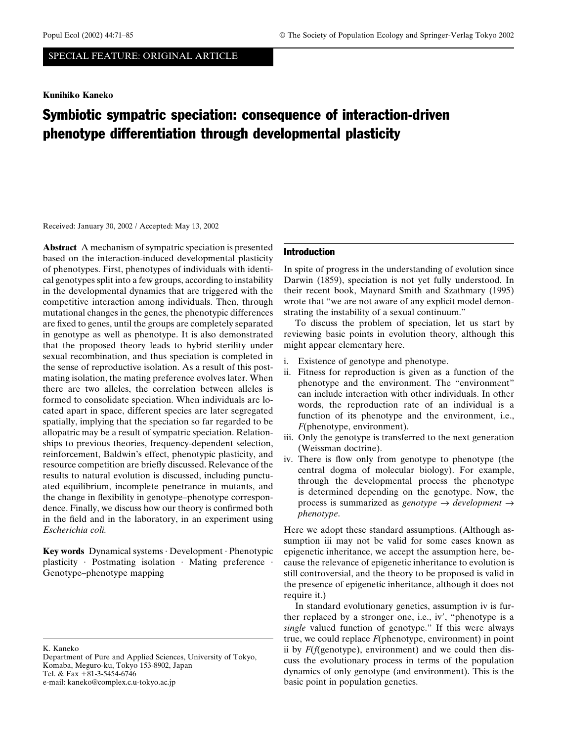SPECIAL FEATURE: ORIGINAL ARTICLE

**Kunihiko Kaneko**

# Symbiotic sympatric speciation: consequence of interaction-driven phenotype differentiation through developmental plasticity

Received: January 30, 2002 / Accepted: May 13, 2002

**Abstract** A mechanism of sympatric speciation is presented based on the interaction-induced developmental plasticity of phenotypes. First, phenotypes of individuals with identical genotypes split into a few groups, according to instability in the developmental dynamics that are triggered with the competitive interaction among individuals. Then, through mutational changes in the genes, the phenotypic differences are fixed to genes, until the groups are completely separated in genotype as well as phenotype. It is also demonstrated that the proposed theory leads to hybrid sterility under sexual recombination, and thus speciation is completed in the sense of reproductive isolation. As a result of this postmating isolation, the mating preference evolves later. When there are two alleles, the correlation between alleles is formed to consolidate speciation. When individuals are located apart in space, different species are later segregated spatially, implying that the speciation so far regarded to be allopatric may be a result of sympatric speciation. Relationships to previous theories, frequency-dependent selection, reinforcement, Baldwin's effect, phenotypic plasticity, and resource competition are briefly discussed. Relevance of the results to natural evolution is discussed, including punctuated equilibrium, incomplete penetrance in mutants, and the change in flexibility in genotype–phenotype correspondence. Finally, we discuss how our theory is confirmed both in the field and in the laboratory, in an experiment using *Escherichia coli.*

**Key words** Dynamical systems · Development · Phenotypic plasticity · Postmating isolation · Mating preference · Genotype–phenotype mapping

K. Kaneko

e-mail: kaneko@complex.c.u-tokyo.ac.jp

# Introduction

In spite of progress in the understanding of evolution since Darwin (1859), speciation is not yet fully understood. In their recent book, Maynard Smith and Szathmary (1995) wrote that "we are not aware of any explicit model demonstrating the instability of a sexual continuum."

To discuss the problem of speciation, let us start by reviewing basic points in evolution theory, although this might appear elementary here.

- i. Existence of genotype and phenotype.
- ii. Fitness for reproduction is given as a function of the phenotype and the environment. The "environment" can include interaction with other individuals. In other words, the reproduction rate of an individual is a function of its phenotype and the environment, i.e., *F*(phenotype, environment).
- iii. Only the genotype is transferred to the next generation (Weissman doctrine).
- iv. There is flow only from genotype to phenotype (the central dogma of molecular biology). For example, through the developmental process the phenotype is determined depending on the genotype. Now, the process is summarized as *genotype*  $\rightarrow$  *development*  $\rightarrow$ *phenotype*.

Here we adopt these standard assumptions. (Although assumption iii may not be valid for some cases known as epigenetic inheritance, we accept the assumption here, because the relevance of epigenetic inheritance to evolution is still controversial, and the theory to be proposed is valid in the presence of epigenetic inheritance, although it does not require it.)

In standard evolutionary genetics, assumption iv is further replaced by a stronger one, i.e., iv', "phenotype is a *single* valued function of genotype." If this were always true, we could replace *F*(phenotype, environment) in point ii by *F*(*f*(genotype), environment) and we could then discuss the evolutionary process in terms of the population dynamics of only genotype (and environment). This is the basic point in population genetics.

Department of Pure and Applied Sciences, University of Tokyo, Komaba, Meguro-ku, Tokyo 153-8902, Japan Tel. & Fax +81-3-5454-6746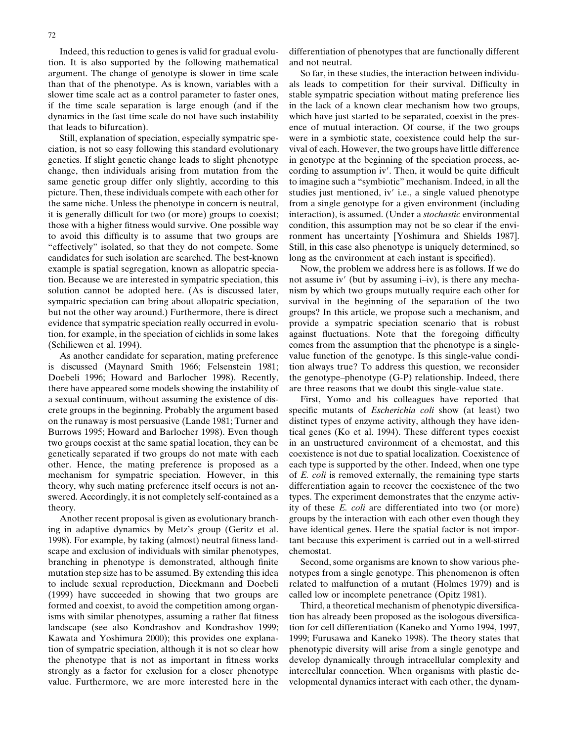Indeed, this reduction to genes is valid for gradual evolution. It is also supported by the following mathematical argument. The change of genotype is slower in time scale than that of the phenotype. As is known, variables with a slower time scale act as a control parameter to faster ones, if the time scale separation is large enough (and if the dynamics in the fast time scale do not have such instability that leads to bifurcation).

Still, explanation of speciation, especially sympatric speciation, is not so easy following this standard evolutionary genetics. If slight genetic change leads to slight phenotype change, then individuals arising from mutation from the same genetic group differ only slightly, according to this picture. Then, these individuals compete with each other for the same niche. Unless the phenotype in concern is neutral, it is generally difficult for two (or more) groups to coexist; those with a higher fitness would survive. One possible way to avoid this difficulty is to assume that two groups are "effectively" isolated, so that they do not compete. Some candidates for such isolation are searched. The best-known example is spatial segregation, known as allopatric speciation. Because we are interested in sympatric speciation, this solution cannot be adopted here. (As is discussed later, sympatric speciation can bring about allopatric speciation, but not the other way around.) Furthermore, there is direct evidence that sympatric speciation really occurred in evolution, for example, in the speciation of cichlids in some lakes (Schiliewen et al. 1994).

As another candidate for separation, mating preference is discussed (Maynard Smith 1966; Felsenstein 1981; Doebeli 1996; Howard and Barlocher 1998). Recently, there have appeared some models showing the instability of a sexual continuum, without assuming the existence of discrete groups in the beginning. Probably the argument based on the runaway is most persuasive (Lande 1981; Turner and Burrows 1995; Howard and Barlocher 1998). Even though two groups coexist at the same spatial location, they can be genetically separated if two groups do not mate with each other. Hence, the mating preference is proposed as a mechanism for sympatric speciation. However, in this theory, why such mating preference itself occurs is not answered. Accordingly, it is not completely self-contained as a theory.

Another recent proposal is given as evolutionary branching in adaptive dynamics by Metz's group (Geritz et al. 1998). For example, by taking (almost) neutral fitness landscape and exclusion of individuals with similar phenotypes, branching in phenotype is demonstrated, although finite mutation step size has to be assumed. By extending this idea to include sexual reproduction, Dieckmann and Doebeli (1999) have succeeded in showing that two groups are formed and coexist, to avoid the competition among organisms with similar phenotypes, assuming a rather flat fitness landscape (see also Kondrashov and Kondrashov 1999; Kawata and Yoshimura 2000); this provides one explanation of sympatric speciation, although it is not so clear how the phenotype that is not as important in fitness works strongly as a factor for exclusion for a closer phenotype value. Furthermore, we are more interested here in the differentiation of phenotypes that are functionally different and not neutral.

So far, in these studies, the interaction between individuals leads to competition for their survival. Difficulty in stable sympatric speciation without mating preference lies in the lack of a known clear mechanism how two groups, which have just started to be separated, coexist in the presence of mutual interaction. Of course, if the two groups were in a symbiotic state, coexistence could help the survival of each. However, the two groups have little difference in genotype at the beginning of the speciation process, according to assumption iv'. Then, it would be quite difficult to imagine such a "symbiotic" mechanism. Indeed, in all the studies just mentioned, iv' i.e., a single valued phenotype from a single genotype for a given environment (including interaction), is assumed. (Under a *stochastic* environmental condition, this assumption may not be so clear if the environment has uncertainty [Yoshimura and Shields 1987]. Still, in this case also phenotype is uniquely determined, so long as the environment at each instant is specified).

Now, the problem we address here is as follows. If we do not assume iv' (but by assuming i–iv), is there any mechanism by which two groups mutually require each other for survival in the beginning of the separation of the two groups? In this article, we propose such a mechanism, and provide a sympatric speciation scenario that is robust against fluctuations. Note that the foregoing difficulty comes from the assumption that the phenotype is a singlevalue function of the genotype. Is this single-value condition always true? To address this question, we reconsider the genotype–phenotype (G-P) relationship. Indeed, there are three reasons that we doubt this single-value state.

First, Yomo and his colleagues have reported that specific mutants of *Escherichia coli* show (at least) two distinct types of enzyme activity, although they have identical genes (Ko et al. 1994). These different types coexist in an unstructured environment of a chemostat, and this coexistence is not due to spatial localization. Coexistence of each type is supported by the other. Indeed, when one type of *E. coli* is removed externally, the remaining type starts differentiation again to recover the coexistence of the two types. The experiment demonstrates that the enzyme activity of these *E. coli* are differentiated into two (or more) groups by the interaction with each other even though they have identical genes. Here the spatial factor is not important because this experiment is carried out in a well-stirred chemostat.

Second, some organisms are known to show various phenotypes from a single genotype. This phenomenon is often related to malfunction of a mutant (Holmes 1979) and is called low or incomplete penetrance (Opitz 1981).

Third, a theoretical mechanism of phenotypic diversification has already been proposed as the isologous diversification for cell differentiation (Kaneko and Yomo 1994, 1997, 1999; Furusawa and Kaneko 1998). The theory states that phenotypic diversity will arise from a single genotype and develop dynamically through intracellular complexity and intercellular connection. When organisms with plastic developmental dynamics interact with each other, the dynam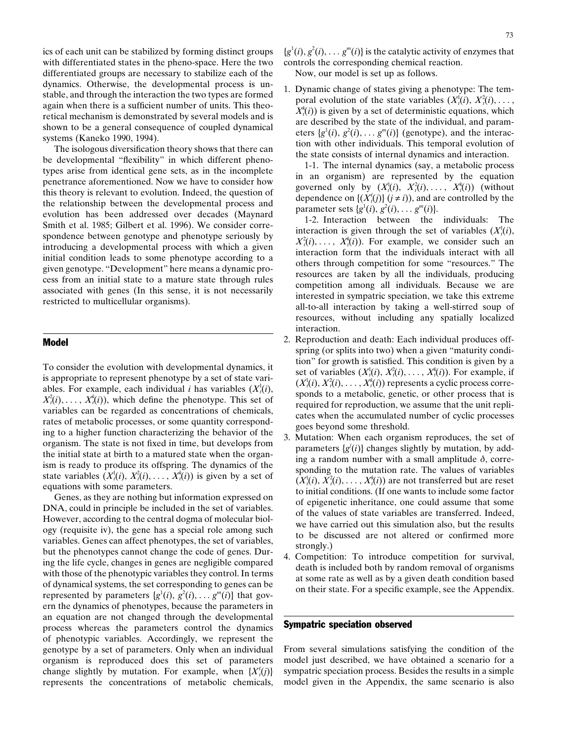ics of each unit can be stabilized by forming distinct groups with differentiated states in the pheno-space. Here the two differentiated groups are necessary to stabilize each of the dynamics. Otherwise, the developmental process is unstable, and through the interaction the two types are formed again when there is a sufficient number of units. This theoretical mechanism is demonstrated by several models and is shown to be a general consequence of coupled dynamical systems (Kaneko 1990, 1994).

The isologous diversification theory shows that there can be developmental "flexibility" in which different phenotypes arise from identical gene sets, as in the incomplete penetrance aforementioned. Now we have to consider how this theory is relevant to evolution. Indeed, the question of the relationship between the developmental process and evolution has been addressed over decades (Maynard Smith et al. 1985; Gilbert et al. 1996). We consider correspondence between genotype and phenotype seriously by introducing a developmental process with which a given initial condition leads to some phenotype according to a given genotype. "Development" here means a dynamic process from an initial state to a mature state through rules associated with genes (In this sense, it is not necessarily restricted to multicellular organisms).

# Model

To consider the evolution with developmental dynamics, it is appropriate to represent phenotype by a set of state variables. For example, each individual *i* has variables  $(X^1_i(i))$ ,  $X_i^2(i), \ldots, X_i^k(i)$ , which define the phenotype. This set of variables can be regarded as concentrations of chemicals, rates of metabolic processes, or some quantity corresponding to a higher function characterizing the behavior of the organism. The state is not fixed in time, but develops from the initial state at birth to a matured state when the organism is ready to produce its offspring. The dynamics of the state variables  $(X^1_i(i), X^2_i(i), \ldots, X^k_i(i))$  is given by a set of equations with some parameters.

Genes, as they are nothing but information expressed on DNA, could in principle be included in the set of variables. However, according to the central dogma of molecular biology (requisite iv), the gene has a special role among such variables. Genes can affect phenotypes, the set of variables, but the phenotypes cannot change the code of genes. During the life cycle, changes in genes are negligible compared with those of the phenotypic variables they control. In terms of dynamical systems, the set corresponding to genes can be represented by parameters  ${g<sup>1</sup>(i), g<sup>2</sup>(i), ..., g<sup>m</sup>(i)}$  that govern the dynamics of phenotypes, because the parameters in an equation are not changed through the developmental process whereas the parameters control the dynamics of phenotypic variables. Accordingly, we represent the genotype by a set of parameters. Only when an individual organism is reproduced does this set of parameters change slightly by mutation. For example, when  $\{X_t^{\ell}(j)\}$ represents the concentrations of metabolic chemicals,

 ${g<sup>1</sup>(i), g<sup>2</sup>(i), \ldots g<sup>m</sup>(i)}$  is the catalytic activity of enzymes that controls the corresponding chemical reaction.

Now, our model is set up as follows.

1. Dynamic change of states giving a phenotype: The temporal evolution of the state variables  $(X^1_i(i), X^2_i(i), \ldots,$  $X_i^k(i)$ ) is given by a set of deterministic equations, which are described by the state of the individual, and parameters  $\{g^1(i), g^2(i), \ldots, g^m(i)\}\$  (genotype), and the interaction with other individuals. This temporal evolution of the state consists of internal dynamics and interaction.

1-1. The internal dynamics (say, a metabolic process in an organism) are represented by the equation governed only by  $(X_t^1(i), X_t^2(i), \ldots, X_t^k(i))$  (without dependence on  $\{(X_t^{\ell}(j) | (j \neq i))\}$ , and are controlled by the parameter sets  $\{g^1(i), g^2(i), \ldots, g^m(i)\}.$ 

1-2. Interaction between the individuals: The interaction is given through the set of variables  $(X^1_i(i))$ ,  $X_i^2(i), \ldots, X_i^k(i)$ . For example, we consider such an interaction form that the individuals interact with all others through competition for some "resources." The resources are taken by all the individuals, producing competition among all individuals. Because we are interested in sympatric speciation, we take this extreme all-to-all interaction by taking a well-stirred soup of resources, without including any spatially localized interaction.

- 2. Reproduction and death: Each individual produces offspring (or splits into two) when a given "maturity condition" for growth is satisfied. This condition is given by a set of variables  $(X^1_i(i), X^2_i(i), \ldots, X^k_i(i))$ . For example, if  $(X^1_t(i), X^2_t(i), \ldots, X^k_t(i))$  represents a cyclic process corresponds to a metabolic, genetic, or other process that is required for reproduction, we assume that the unit replicates when the accumulated number of cyclic processes goes beyond some threshold.
- 3. Mutation: When each organism reproduces, the set of parameters  $\{g^j(i)\}$  changes slightly by mutation, by adding a random number with a small amplitude  $\delta$ , corresponding to the mutation rate. The values of variables  $(X^1_i(i), X^2_i(i), \ldots, X^k_i(i))$  are not transferred but are reset to initial conditions. (If one wants to include some factor of epigenetic inheritance, one could assume that some of the values of state variables are transferred. Indeed, we have carried out this simulation also, but the results to be discussed are not altered or confirmed more strongly.)
- 4. Competition: To introduce competition for survival, death is included both by random removal of organisms at some rate as well as by a given death condition based on their state. For a specific example, see the Appendix.

# Sympatric speciation observed

From several simulations satisfying the condition of the model just described, we have obtained a scenario for a sympatric speciation process. Besides the results in a simple model given in the Appendix, the same scenario is also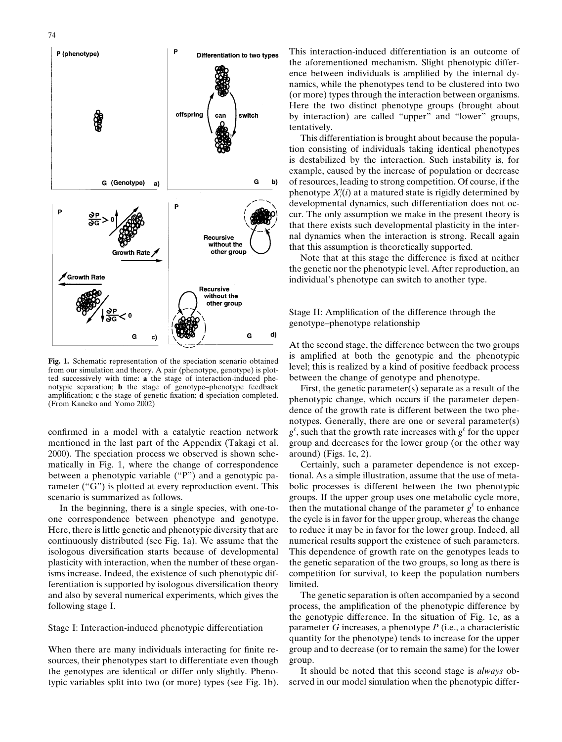

**Fig. 1.** Schematic representation of the speciation scenario obtained from our simulation and theory. A pair (phenotype, genotype) is plotted successively with time: **a** the stage of interaction-induced phenotypic separation; **b** the stage of genotype–phenotype feedback amplification; **c** the stage of genetic fixation; **d** speciation completed. (From Kaneko and Yomo 2002)

confirmed in a model with a catalytic reaction network mentioned in the last part of the Appendix (Takagi et al. 2000). The speciation process we observed is shown schematically in Fig. 1, where the change of correspondence between a phenotypic variable ("P") and a genotypic parameter ("G") is plotted at every reproduction event. This scenario is summarized as follows.

In the beginning, there is a single species, with one-toone correspondence between phenotype and genotype. Here, there is little genetic and phenotypic diversity that are continuously distributed (see Fig. 1a). We assume that the isologous diversification starts because of developmental plasticity with interaction, when the number of these organisms increase. Indeed, the existence of such phenotypic differentiation is supported by isologous diversification theory and also by several numerical experiments, which gives the following stage I.

## Stage I: Interaction-induced phenotypic differentiation

When there are many individuals interacting for finite resources, their phenotypes start to differentiate even though the genotypes are identical or differ only slightly. Phenotypic variables split into two (or more) types (see Fig. 1b). This interaction-induced differentiation is an outcome of the aforementioned mechanism. Slight phenotypic difference between individuals is amplified by the internal dynamics, while the phenotypes tend to be clustered into two (or more) types through the interaction between organisms. Here the two distinct phenotype groups (brought about by interaction) are called "upper" and "lower" groups, tentatively.

This differentiation is brought about because the population consisting of individuals taking identical phenotypes is destabilized by the interaction. Such instability is, for example, caused by the increase of population or decrease of resources, leading to strong competition. Of course, if the phenotype  $X^j_t(i)$  at a matured state is rigidly determined by developmental dynamics, such differentiation does not occur. The only assumption we make in the present theory is that there exists such developmental plasticity in the internal dynamics when the interaction is strong. Recall again that this assumption is theoretically supported.

Note that at this stage the difference is fixed at neither the genetic nor the phenotypic level. After reproduction, an individual's phenotype can switch to another type.

Stage II: Amplification of the difference through the genotype–phenotype relationship

At the second stage, the difference between the two groups is amplified at both the genotypic and the phenotypic level; this is realized by a kind of positive feedback process between the change of genotype and phenotype.

First, the genetic parameter(s) separate as a result of the phenotypic change, which occurs if the parameter dependence of the growth rate is different between the two phenotypes. Generally, there are one or several parameter(s) *g* , such that the growth rate increases with *g* for the upper group and decreases for the lower group (or the other way around) (Figs. 1c, 2).

Certainly, such a parameter dependence is not exceptional. As a simple illustration, assume that the use of metabolic processes is different between the two phenotypic groups. If the upper group uses one metabolic cycle more, then the mutational change of the parameter  $g^{\ell}$  to enhance the cycle is in favor for the upper group, whereas the change to reduce it may be in favor for the lower group. Indeed, all numerical results support the existence of such parameters. This dependence of growth rate on the genotypes leads to the genetic separation of the two groups, so long as there is competition for survival, to keep the population numbers limited.

The genetic separation is often accompanied by a second process, the amplification of the phenotypic difference by the genotypic difference. In the situation of Fig. 1c, as a parameter *G* increases, a phenotype *P* (i.e., a characteristic quantity for the phenotype) tends to increase for the upper group and to decrease (or to remain the same) for the lower group.

It should be noted that this second stage is *always* observed in our model simulation when the phenotypic differ-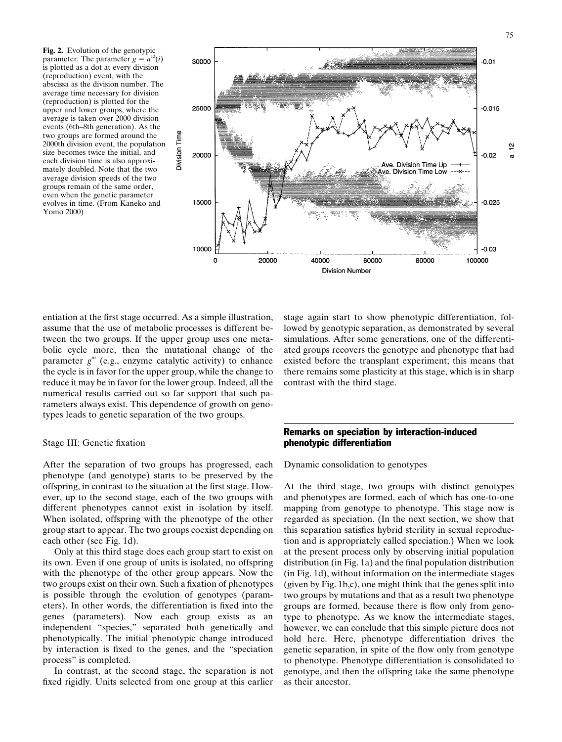**Fig. 2.** Evolution of the genotypic parameter. The parameter  $g = a^{12}(i)$ is plotted as a dot at every division (reproduction) event, with the abscissa as the division number. The average time necessary for division (reproduction) is plotted for the upper and lower groups, where the average is taken over 2000 division events (6th–8th generation). As the two groups are formed around the 2000th division event, the population size becomes twice the initial, and each division time is also approximately doubled. Note that the two average division speeds of the two groups remain of the same order, even when the genetic parameter evolves in time. (From Kaneko and Yomo 2000)



entiation at the first stage occurred. As a simple illustration, assume that the use of metabolic processes is different between the two groups. If the upper group uses one metabolic cycle more, then the mutational change of the parameter  $g^m$  (e.g., enzyme catalytic activity) to enhance the cycle is in favor for the upper group, while the change to reduce it may be in favor for the lower group. Indeed, all the numerical results carried out so far support that such parameters always exist. This dependence of growth on genotypes leads to genetic separation of the two groups.

## Stage III: Genetic fixation

After the separation of two groups has progressed, each phenotype (and genotype) starts to be preserved by the offspring, in contrast to the situation at the first stage. However, up to the second stage, each of the two groups with different phenotypes cannot exist in isolation by itself. When isolated, offspring with the phenotype of the other group start to appear. The two groups coexist depending on each other (see Fig. 1d).

Only at this third stage does each group start to exist on its own. Even if one group of units is isolated, no offspring with the phenotype of the other group appears. Now the two groups exist on their own. Such a fixation of phenotypes is possible through the evolution of genotypes (parameters). In other words, the differentiation is fixed into the genes (parameters). Now each group exists as an independent "species," separated both genetically and phenotypically. The initial phenotypic change introduced by interaction is fixed to the genes, and the "speciation process" is completed.

In contrast, at the second stage, the separation is not fixed rigidly. Units selected from one group at this earlier stage again start to show phenotypic differentiation, followed by genotypic separation, as demonstrated by several simulations. After some generations, one of the differentiated groups recovers the genotype and phenotype that had existed before the transplant experiment; this means that there remains some plasticity at this stage, which is in sharp contrast with the third stage.

# Remarks on speciation by interaction-induced phenotypic differentiation

Dynamic consolidation to genotypes

At the third stage, two groups with distinct genotypes and phenotypes are formed, each of which has one-to-one mapping from genotype to phenotype. This stage now is regarded as speciation. (In the next section, we show that this separation satisfies hybrid sterility in sexual reproduction and is appropriately called speciation.) When we look at the present process only by observing initial population distribution (in Fig. 1a) and the final population distribution (in Fig. 1d), without information on the intermediate stages (given by Fig. 1b,c), one might think that the genes split into two groups by mutations and that as a result two phenotype groups are formed, because there is flow only from genotype to phenotype. As we know the intermediate stages, however, we can conclude that this simple picture does not hold here. Here, phenotype differentiation drives the genetic separation, in spite of the flow only from genotype to phenotype. Phenotype differentiation is consolidated to genotype, and then the offspring take the same phenotype as their ancestor.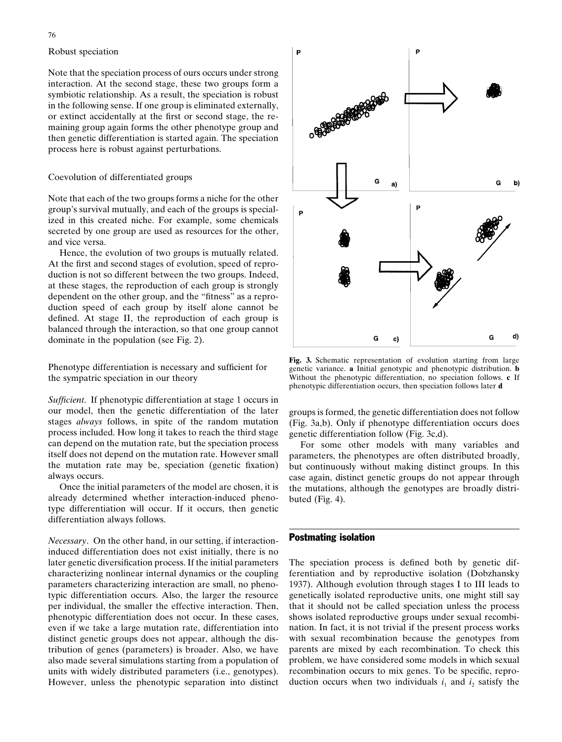## Robust speciation

Note that the speciation process of ours occurs under strong interaction. At the second stage, these two groups form a symbiotic relationship. As a result, the speciation is robust in the following sense. If one group is eliminated externally, or extinct accidentally at the first or second stage, the remaining group again forms the other phenotype group and then genetic differentiation is started again. The speciation process here is robust against perturbations.

#### Coevolution of differentiated groups

Note that each of the two groups forms a niche for the other group's survival mutually, and each of the groups is specialized in this created niche. For example, some chemicals secreted by one group are used as resources for the other, and vice versa.

Hence, the evolution of two groups is mutually related. At the first and second stages of evolution, speed of reproduction is not so different between the two groups. Indeed, at these stages, the reproduction of each group is strongly dependent on the other group, and the "fitness" as a reproduction speed of each group by itself alone cannot be defined. At stage II, the reproduction of each group is balanced through the interaction, so that one group cannot dominate in the population (see Fig. 2).

Phenotype differentiation is necessary and sufficient for the sympatric speciation in our theory

*Sufficient*. If phenotypic differentiation at stage 1 occurs in our model, then the genetic differentiation of the later stages *always* follows, in spite of the random mutation process included. How long it takes to reach the third stage can depend on the mutation rate, but the speciation process itself does not depend on the mutation rate. However small the mutation rate may be, speciation (genetic fixation) always occurs.

Once the initial parameters of the model are chosen, it is already determined whether interaction-induced phenotype differentiation will occur. If it occurs, then genetic differentiation always follows.

*Necessary*. On the other hand, in our setting, if interactioninduced differentiation does not exist initially, there is no later genetic diversification process. If the initial parameters characterizing nonlinear internal dynamics or the coupling parameters characterizing interaction are small, no phenotypic differentiation occurs. Also, the larger the resource per individual, the smaller the effective interaction. Then, phenotypic differentiation does not occur. In these cases, even if we take a large mutation rate, differentiation into distinct genetic groups does not appear, although the distribution of genes (parameters) is broader. Also, we have also made several simulations starting from a population of units with widely distributed parameters (i.e., genotypes). However, unless the phenotypic separation into distinct



**Fig. 3.** Schematic representation of evolution starting from large genetic variance. **a** Initial genotypic and phenotypic distribution. **b** Without the phenotypic differentiation, no speciation follows. **c** If phenotypic differentiation occurs, then speciation follows later **d**

groups is formed, the genetic differentiation does not follow (Fig. 3a,b). Only if phenotype differentiation occurs does genetic differentiation follow (Fig. 3c,d).

For some other models with many variables and parameters, the phenotypes are often distributed broadly, but continuously without making distinct groups. In this case again, distinct genetic groups do not appear through the mutations, although the genotypes are broadly distributed (Fig. 4).

# Postmating isolation

The speciation process is defined both by genetic differentiation and by reproductive isolation (Dobzhansky 1937). Although evolution through stages I to III leads to genetically isolated reproductive units, one might still say that it should not be called speciation unless the process shows isolated reproductive groups under sexual recombination. In fact, it is not trivial if the present process works with sexual recombination because the genotypes from parents are mixed by each recombination. To check this problem, we have considered some models in which sexual recombination occurs to mix genes. To be specific, reproduction occurs when two individuals  $i_1$  and  $i_2$  satisfy the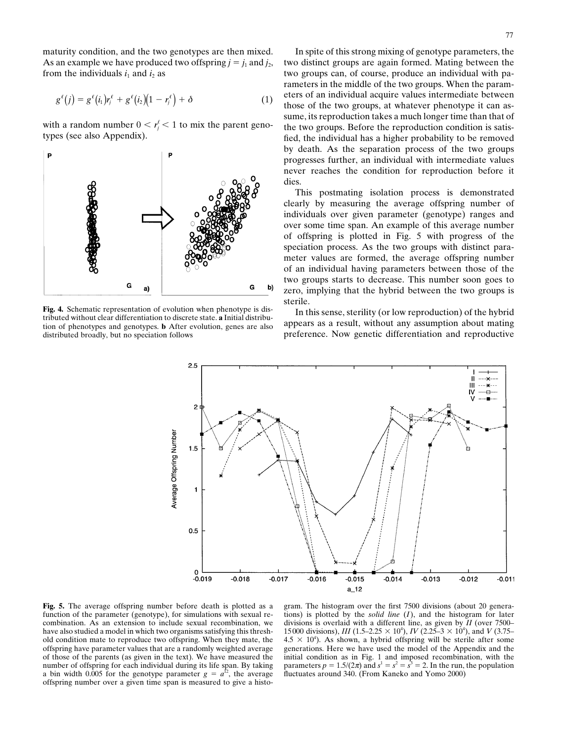maturity condition, and the two genotypes are then mixed. As an example we have produced two offspring  $j = j_1$  and  $j_2$ , from the individuals  $i_1$  and  $i_2$  as

$$
g^{\ell}(j) = g^{\ell}(i_1) r_j^{\ell} + g^{\ell}(i_2)(1 - r_j^{\ell}) + \delta
$$
 (1)

with a random number  $0 < r_j^{\ell} < 1$  to mix the parent genotypes (see also Appendix).



**Fig. 4.** Schematic representation of evolution when phenotype is distributed without clear differentiation to discrete state. **a** Initial distribution of phenotypes and genotypes. **b** After evolution, genes are also distributed broadly, but no speciation follows

In spite of this strong mixing of genotype parameters, the two distinct groups are again formed. Mating between the two groups can, of course, produce an individual with parameters in the middle of the two groups. When the parameters of an individual acquire values intermediate between those of the two groups, at whatever phenotype it can assume, its reproduction takes a much longer time than that of the two groups. Before the reproduction condition is satisfied, the individual has a higher probability to be removed by death. As the separation process of the two groups progresses further, an individual with intermediate values never reaches the condition for reproduction before it dies.

This postmating isolation process is demonstrated clearly by measuring the average offspring number of individuals over given parameter (genotype) ranges and over some time span. An example of this average number of offspring is plotted in Fig. 5 with progress of the speciation process. As the two groups with distinct parameter values are formed, the average offspring number of an individual having parameters between those of the two groups starts to decrease. This number soon goes to zero, implying that the hybrid between the two groups is sterile.

In this sense, sterility (or low reproduction) of the hybrid appears as a result, without any assumption about mating preference. Now genetic differentiation and reproductive



**Fig. 5.** The average offspring number before death is plotted as a function of the parameter (genotype), for simulations with sexual recombination. As an extension to include sexual recombination, we have also studied a model in which two organisms satisfying this threshold condition mate to reproduce two offspring. When they mate, the offspring have parameter values that are a randomly weighted average of those of the parents (as given in the text). We have measured the number of offspring for each individual during its life span. By taking a bin width 0.005 for the genotype parameter  $g = a^{12}$ , the average offspring number over a given time span is measured to give a histo-

gram. The histogram over the first 7500 divisions (about 20 generations) is plotted by the *solid line* (*I*), and the histogram for later divisions is overlaid with a different line, as given by *II* (over 7500– 15000 divisions), *III* (1.5–2.25  $\times$  10<sup>4</sup>), *IV* (2.25–3  $\times$  10<sup>4</sup>), and *V* (3.75–  $4.5 \times 10^4$ ). As shown, a hybrid offspring will be sterile after some generations. Here we have used the model of the Appendix and the initial condition as in Fig. 1 and imposed recombination, with the parameters  $p = 1.5/(2\pi)$  and  $s^1 = s^2 = s^3 = 2$ . In the run, the population fluctuates around 340. (From Kaneko and Yomo 2000)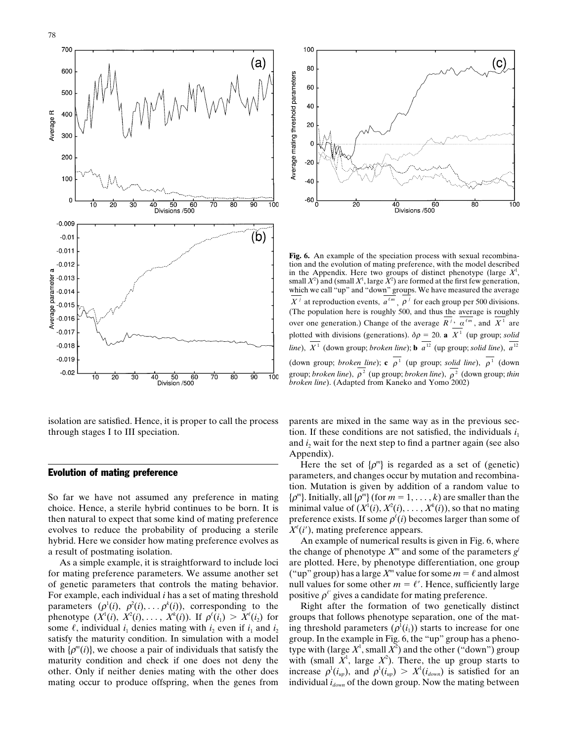



isolation are satisfied. Hence, it is proper to call the process through stages I to III speciation.

# Evolution of mating preference

So far we have not assumed any preference in mating choice. Hence, a sterile hybrid continues to be born. It is then natural to expect that some kind of mating preference evolves to reduce the probability of producing a sterile hybrid. Here we consider how mating preference evolves as a result of postmating isolation.

As a simple example, it is straightforward to include loci for mating preference parameters. We assume another set of genetic parameters that controls the mating behavior. For example, each individual *i* has a set of mating threshold parameters  $(\rho^1(i), \rho^2(i), \ldots, \rho^k(i))$ , corresponding to the phenotype  $(X^1(i), X^2(i), \ldots, X^k(i))$ . If  $\rho^{\ell}(i_1) > X^{\ell}(i_2)$  for some  $\ell$ , individual  $i_1$  denies mating with  $i_2$  even if  $i_1$  and  $i_2$ satisfy the maturity condition. In simulation with a model with  $\{\rho^m(i)\}\)$ , we choose a pair of individuals that satisfy the maturity condition and check if one does not deny the other. Only if neither denies mating with the other does mating occur to produce offspring, when the genes from



**Fig. 6.** An example of the speciation process with sexual recombination and the evolution of mating preference, with the model described in the Appendix. Here two groups of distinct phenotype (large  $X<sup>1</sup>$ , small  $X^2$ ) and (small  $X^1$ , large  $X^2$ ) are formed at the first few generation, which we call "up" and "down" groups. We have measured the average  $\overline{X}^j$  at reproduction events,  $a^{\ell m}$ ,  $\rho^j$  for each group per 500 divisions. (The population here is roughly 500, and thus the average is roughly over one generation.) Change of the average  $R^{j}$ ,  $\alpha^{\ell m}$ , and  $X^{1}$  are plotted with divisions (generations).  $\delta \rho = 20$ . **a**  $\overline{X}^1$  (up group; *solid line*),  $\overline{X^1}$  (down group; *broken line*); **b**  $\overline{a^{12}}$  (up group; *solid line*),  $\overline{a^{12}}$ (down group; *broken line*); **c**  $\rho^1$  (up group; *solid line*),  $\rho^1$  (down group; *broken line*),  $\rho^2$  (up group; *broken line*),  $\rho^2$  (down group; *thin broken line*). (Adapted from Kaneko and Yomo 2002)

parents are mixed in the same way as in the previous section. If these conditions are not satisfied, the individuals  $i_1$ and  $i<sub>2</sub>$  wait for the next step to find a partner again (see also Appendix).

Here the set of  $\{\rho^m\}$  is regarded as a set of (genetic) parameters, and changes occur by mutation and recombination. Mutation is given by addition of a random value to  ${\rho^m}$ . Initially, all  ${\rho^m}$  (for  $m = 1, \ldots, k$ ) are smaller than the minimal value of  $(X^1(i), X^2(i), \ldots, X^k(i))$ , so that no mating preference exists. If some  $\rho^{\ell}(i)$  becomes larger than some of  $X^{\ell}(i')$ , mating preference appears.

An example of numerical results is given in Fig. 6, where the change of phenotype  $X^m$  and some of the parameters  $g'$ are plotted. Here, by phenotype differentiation, one group ("up" group) has a large  $X^m$  value for some  $m = \ell$  and almost null values for some other  $m = \ell'$ . Hence, sufficiently large positive  $\rho^{\ell'}$  gives a candidate for mating preference.

Right after the formation of two genetically distinct groups that follows phenotype separation, one of the mating threshold parameters  $(\rho^1(i_1))$  starts to increase for one group. In the example in Fig. 6, the "up" group has a phenotype with (large  $X^1$ , small  $X^2$ ) and the other ("down") group with (small  $X^1$ , large  $X^2$ ). There, the up group starts to increase  $\rho^1(i_{up})$ , and  $\rho^1(i_{up}) > X^1(i_{down})$  is satisfied for an individual  $i_{down}$  of the down group. Now the mating between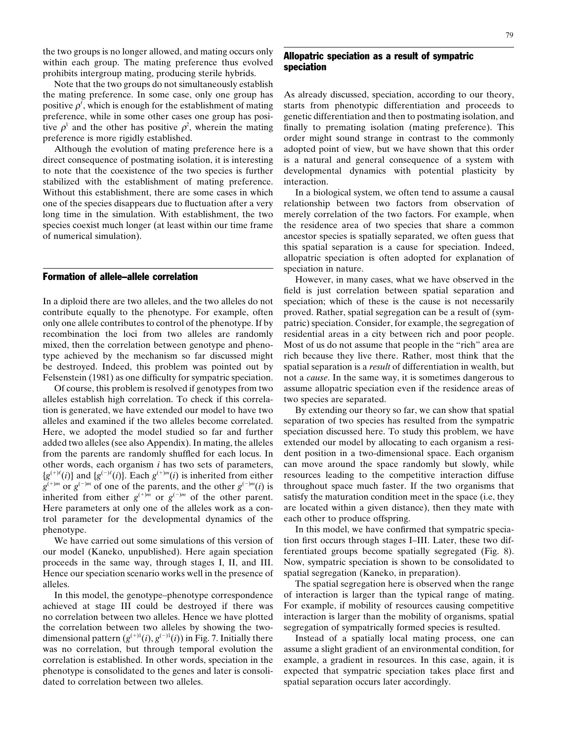the two groups is no longer allowed, and mating occurs only within each group. The mating preference thus evolved prohibits intergroup mating, producing sterile hybrids.

Note that the two groups do not simultaneously establish the mating preference. In some case, only one group has positive  $\rho^{\ell}$ , which is enough for the establishment of mating preference, while in some other cases one group has positive  $\rho^1$  and the other has positive  $\rho^2$ , wherein the mating preference is more rigidly established.

Although the evolution of mating preference here is a direct consequence of postmating isolation, it is interesting to note that the coexistence of the two species is further stabilized with the establishment of mating preference. Without this establishment, there are some cases in which one of the species disappears due to fluctuation after a very long time in the simulation. With establishment, the two species coexist much longer (at least within our time frame of numerical simulation).

# Formation of allele–allele correlation

In a diploid there are two alleles, and the two alleles do not contribute equally to the phenotype. For example, often only one allele contributes to control of the phenotype. If by recombination the loci from two alleles are randomly mixed, then the correlation between genotype and phenotype achieved by the mechanism so far discussed might be destroyed. Indeed, this problem was pointed out by Felsenstein (1981) as one difficulty for sympatric speciation.

Of course, this problem is resolved if genotypes from two alleles establish high correlation. To check if this correlation is generated, we have extended our model to have two alleles and examined if the two alleles become correlated. Here, we adopted the model studied so far and further added two alleles (see also Appendix). In mating, the alleles from the parents are randomly shuffled for each locus. In other words, each organism *i* has two sets of parameters,  ${g^{(+)\ell}(i)}$  and  ${g^{(-)\ell}(i)}$ . Each  ${g^{(+)m}(i)}$  is inherited from either  $g^{(+)m}$  or  $g^{(-)m}$  of one of the parents, and the other  $g^{(-)m}(i)$  is inherited from either  $g^{(+)m}$  or  $g^{(-)m}$  of the other parent. Here parameters at only one of the alleles work as a control parameter for the developmental dynamics of the phenotype.

We have carried out some simulations of this version of our model (Kaneko, unpublished). Here again speciation proceeds in the same way, through stages I, II, and III. Hence our speciation scenario works well in the presence of alleles.

In this model, the genotype–phenotype correspondence achieved at stage III could be destroyed if there was no correlation between two alleles. Hence we have plotted the correlation between two alleles by showing the twodimensional pattern  $(g^{(+)1}(i), g^{(-)1}(i))$  in Fig. 7. Initially there was no correlation, but through temporal evolution the correlation is established. In other words, speciation in the phenotype is consolidated to the genes and later is consolidated to correlation between two alleles.

# Allopatric speciation as a result of sympatric speciation

As already discussed, speciation, according to our theory, starts from phenotypic differentiation and proceeds to genetic differentiation and then to postmating isolation, and finally to premating isolation (mating preference). This order might sound strange in contrast to the commonly adopted point of view, but we have shown that this order is a natural and general consequence of a system with developmental dynamics with potential plasticity by interaction.

In a biological system, we often tend to assume a causal relationship between two factors from observation of merely correlation of the two factors. For example, when the residence area of two species that share a common ancestor species is spatially separated, we often guess that this spatial separation is a cause for speciation. Indeed, allopatric speciation is often adopted for explanation of speciation in nature.

However, in many cases, what we have observed in the field is just correlation between spatial separation and speciation; which of these is the cause is not necessarily proved. Rather, spatial segregation can be a result of (sympatric) speciation. Consider, for example, the segregation of residential areas in a city between rich and poor people. Most of us do not assume that people in the "rich" area are rich because they live there. Rather, most think that the spatial separation is a *result* of differentiation in wealth, but not a *cause*. In the same way, it is sometimes dangerous to assume allopatric speciation even if the residence areas of two species are separated.

By extending our theory so far, we can show that spatial separation of two species has resulted from the sympatric speciation discussed here. To study this problem, we have extended our model by allocating to each organism a resident position in a two-dimensional space. Each organism can move around the space randomly but slowly, while resources leading to the competitive interaction diffuse throughout space much faster. If the two organisms that satisfy the maturation condition meet in the space (i.e, they are located within a given distance), then they mate with each other to produce offspring.

In this model, we have confirmed that sympatric speciation first occurs through stages I–III. Later, these two differentiated groups become spatially segregated (Fig. 8). Now, sympatric speciation is shown to be consolidated to spatial segregation (Kaneko, in preparation).

The spatial segregation here is observed when the range of interaction is larger than the typical range of mating. For example, if mobility of resources causing competitive interaction is larger than the mobility of organisms, spatial segregation of sympatrically formed species is resulted.

Instead of a spatially local mating process, one can assume a slight gradient of an environmental condition, for example, a gradient in resources. In this case, again, it is expected that sympatric speciation takes place first and spatial separation occurs later accordingly.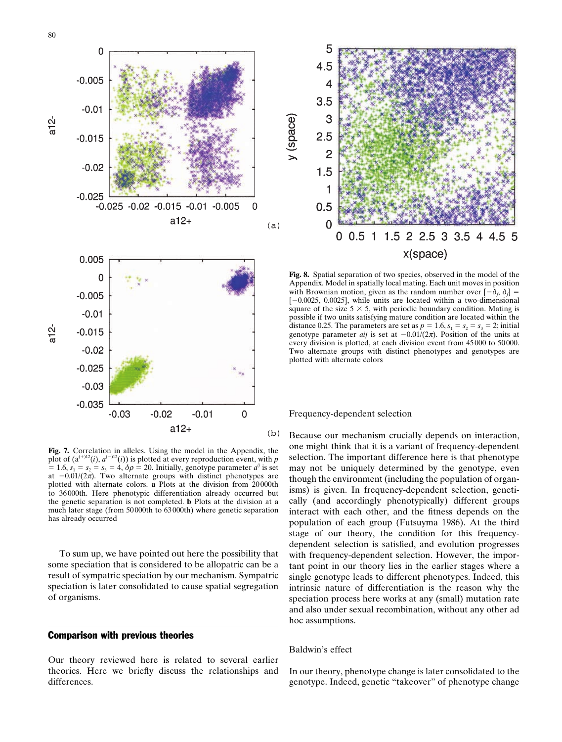

**Fig. 7.** Correlation in alleles. Using the model in the Appendix, the plot of  $(a^{(+)12}(i), a^{(-)12}(i))$  is plotted at every reproduction event, with *p*  $\hat{f} = 1.6$ ,  $\hat{s_1} = \hat{s_2} = \hat{s_3} = 4$ ,  $\delta \rho = 20$ . Initially, genotype parameter  $a^{ij}$  is set at  $-0.01/(2\pi)$ . Two alternate groups with distinct phenotypes are plotted with alternate colors. **a** Plots at the division from 20000th to 36000th. Here phenotypic differentiation already occurred but the genetic separation is not completed. **b** Plots at the division at a much later stage (from 50000th to 63 000th) where genetic separation has already occurred

To sum up, we have pointed out here the possibility that some speciation that is considered to be allopatric can be a result of sympatric speciation by our mechanism. Sympatric speciation is later consolidated to cause spatial segregation of organisms.

# Comparison with previous theories

Our theory reviewed here is related to several earlier theories. Here we briefly discuss the relationships and differences.



**Fig. 8.** Spatial separation of two species, observed in the model of the Appendix. Model in spatially local mating. Each unit moves in position with Brownian motion, given as the random number over  $[-\delta_f, \delta_f]$  =  $[-0.0025, 0.0025]$ , while units are located within a two-dimensional square of the size  $5 \times 5$ , with periodic boundary condition. Mating is possible if two units satisfying mature condition are located within the distance 0.25. The parameters are set as  $p = 1.6$ ,  $s_1 = s_2 = s_3 = 2$ ; initial genotype parameter *aij* is set at  $-0.01/(2\pi)$ . Position of the units at every division is plotted, at each division event from 45 000 to 50000. Two alternate groups with distinct phenotypes and genotypes are plotted with alternate colors

Frequency-dependent selection

Because our mechanism crucially depends on interaction, one might think that it is a variant of frequency-dependent selection. The important difference here is that phenotype may not be uniquely determined by the genotype, even though the environment (including the population of organisms) is given. In frequency-dependent selection, genetically (and accordingly phenotypically) different groups interact with each other, and the fitness depends on the population of each group (Futsuyma 1986). At the third stage of our theory, the condition for this frequencydependent selection is satisfied, and evolution progresses with frequency-dependent selection. However, the important point in our theory lies in the earlier stages where a single genotype leads to different phenotypes. Indeed, this intrinsic nature of differentiation is the reason why the speciation process here works at any (small) mutation rate and also under sexual recombination, without any other ad hoc assumptions.

## Baldwin's effect

In our theory, phenotype change is later consolidated to the genotype. Indeed, genetic "takeover" of phenotype change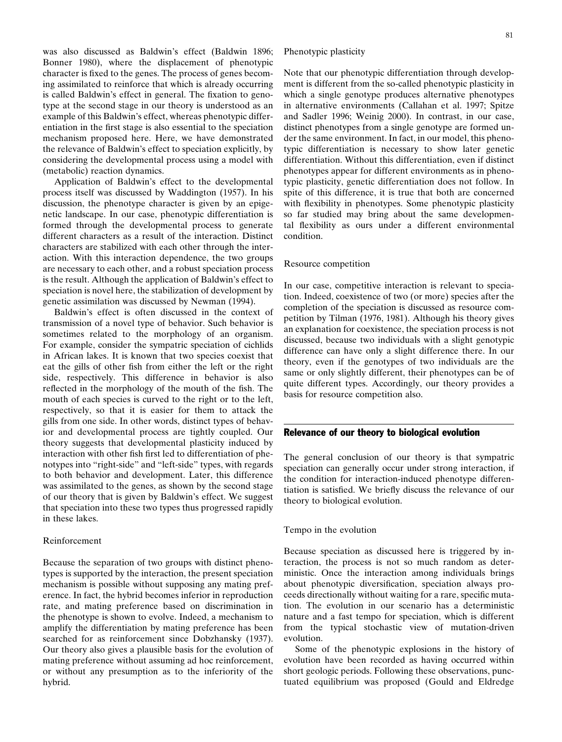was also discussed as Baldwin's effect (Baldwin 1896; Bonner 1980), where the displacement of phenotypic character is fixed to the genes. The process of genes becoming assimilated to reinforce that which is already occurring is called Baldwin's effect in general. The fixation to genotype at the second stage in our theory is understood as an example of this Baldwin's effect, whereas phenotypic differentiation in the first stage is also essential to the speciation mechanism proposed here. Here, we have demonstrated the relevance of Baldwin's effect to speciation explicitly, by considering the developmental process using a model with (metabolic) reaction dynamics.

Application of Baldwin's effect to the developmental process itself was discussed by Waddington (1957). In his discussion, the phenotype character is given by an epigenetic landscape. In our case, phenotypic differentiation is formed through the developmental process to generate different characters as a result of the interaction. Distinct characters are stabilized with each other through the interaction. With this interaction dependence, the two groups are necessary to each other, and a robust speciation process is the result. Although the application of Baldwin's effect to speciation is novel here, the stabilization of development by genetic assimilation was discussed by Newman (1994).

Baldwin's effect is often discussed in the context of transmission of a novel type of behavior. Such behavior is sometimes related to the morphology of an organism. For example, consider the sympatric speciation of cichlids in African lakes. It is known that two species coexist that eat the gills of other fish from either the left or the right side, respectively. This difference in behavior is also reflected in the morphology of the mouth of the fish. The mouth of each species is curved to the right or to the left, respectively, so that it is easier for them to attack the gills from one side. In other words, distinct types of behavior and developmental process are tightly coupled. Our theory suggests that developmental plasticity induced by interaction with other fish first led to differentiation of phenotypes into "right-side" and "left-side" types, with regards to both behavior and development. Later, this difference was assimilated to the genes, as shown by the second stage of our theory that is given by Baldwin's effect. We suggest that speciation into these two types thus progressed rapidly in these lakes.

#### Reinforcement

Because the separation of two groups with distinct phenotypes is supported by the interaction, the present speciation mechanism is possible without supposing any mating preference. In fact, the hybrid becomes inferior in reproduction rate, and mating preference based on discrimination in the phenotype is shown to evolve. Indeed, a mechanism to amplify the differentiation by mating preference has been searched for as reinforcement since Dobzhansky (1937). Our theory also gives a plausible basis for the evolution of mating preference without assuming ad hoc reinforcement, or without any presumption as to the inferiority of the hybrid.

Note that our phenotypic differentiation through development is different from the so-called phenotypic plasticity in which a single genotype produces alternative phenotypes in alternative environments (Callahan et al. 1997; Spitze and Sadler 1996; Weinig 2000). In contrast, in our case, distinct phenotypes from a single genotype are formed under the same environment. In fact, in our model, this phenotypic differentiation is necessary to show later genetic differentiation. Without this differentiation, even if distinct phenotypes appear for different environments as in phenotypic plasticity, genetic differentiation does not follow. In spite of this difference, it is true that both are concerned with flexibility in phenotypes. Some phenotypic plasticity so far studied may bring about the same developmental flexibility as ours under a different environmental condition.

#### Resource competition

In our case, competitive interaction is relevant to speciation. Indeed, coexistence of two (or more) species after the completion of the speciation is discussed as resource competition by Tilman (1976, 1981). Although his theory gives an explanation for coexistence, the speciation process is not discussed, because two individuals with a slight genotypic difference can have only a slight difference there. In our theory, even if the genotypes of two individuals are the same or only slightly different, their phenotypes can be of quite different types. Accordingly, our theory provides a basis for resource competition also.

## Relevance of our theory to biological evolution

The general conclusion of our theory is that sympatric speciation can generally occur under strong interaction, if the condition for interaction-induced phenotype differentiation is satisfied. We briefly discuss the relevance of our theory to biological evolution.

#### Tempo in the evolution

Because speciation as discussed here is triggered by interaction, the process is not so much random as deterministic. Once the interaction among individuals brings about phenotypic diversification, speciation always proceeds directionally without waiting for a rare, specific mutation. The evolution in our scenario has a deterministic nature and a fast tempo for speciation, which is different from the typical stochastic view of mutation-driven evolution.

Some of the phenotypic explosions in the history of evolution have been recorded as having occurred within short geologic periods. Following these observations, punctuated equilibrium was proposed (Gould and Eldredge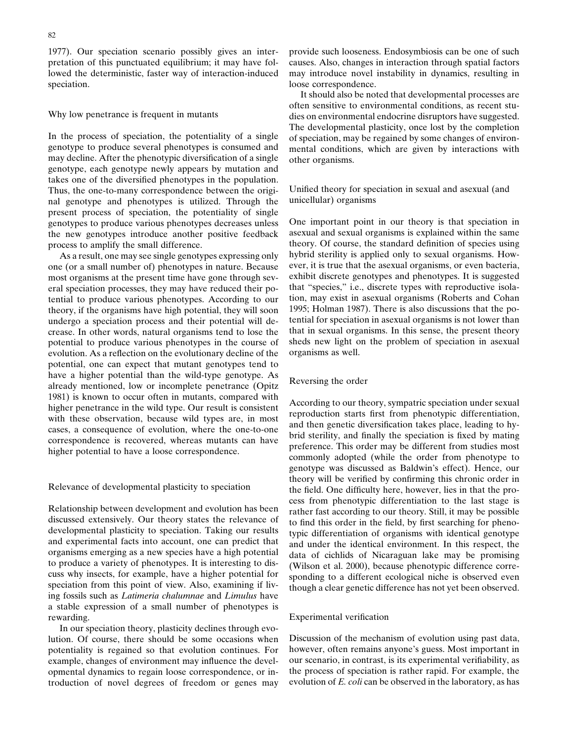#### Why low penetrance is frequent in mutants

In the process of speciation, the potentiality of a single genotype to produce several phenotypes is consumed and may decline. After the phenotypic diversification of a single genotype, each genotype newly appears by mutation and takes one of the diversified phenotypes in the population. Thus, the one-to-many correspondence between the original genotype and phenotypes is utilized. Through the present process of speciation, the potentiality of single genotypes to produce various phenotypes decreases unless the new genotypes introduce another positive feedback process to amplify the small difference.

As a result, one may see single genotypes expressing only one (or a small number of) phenotypes in nature. Because most organisms at the present time have gone through several speciation processes, they may have reduced their potential to produce various phenotypes. According to our theory, if the organisms have high potential, they will soon undergo a speciation process and their potential will decrease. In other words, natural organisms tend to lose the potential to produce various phenotypes in the course of evolution. As a reflection on the evolutionary decline of the potential, one can expect that mutant genotypes tend to have a higher potential than the wild-type genotype. As already mentioned, low or incomplete penetrance (Opitz 1981) is known to occur often in mutants, compared with higher penetrance in the wild type. Our result is consistent with these observation, because wild types are, in most cases, a consequence of evolution, where the one-to-one correspondence is recovered, whereas mutants can have higher potential to have a loose correspondence.

## Relevance of developmental plasticity to speciation

Relationship between development and evolution has been discussed extensively. Our theory states the relevance of developmental plasticity to speciation. Taking our results and experimental facts into account, one can predict that organisms emerging as a new species have a high potential to produce a variety of phenotypes. It is interesting to discuss why insects, for example, have a higher potential for speciation from this point of view. Also, examining if living fossils such as *Latimeria chalumnae* and *Limulus* have a stable expression of a small number of phenotypes is rewarding.

In our speciation theory, plasticity declines through evolution. Of course, there should be some occasions when potentiality is regained so that evolution continues. For example, changes of environment may influence the developmental dynamics to regain loose correspondence, or introduction of novel degrees of freedom or genes may provide such looseness. Endosymbiosis can be one of such causes. Also, changes in interaction through spatial factors may introduce novel instability in dynamics, resulting in loose correspondence.

It should also be noted that developmental processes are often sensitive to environmental conditions, as recent studies on environmental endocrine disruptors have suggested. The developmental plasticity, once lost by the completion of speciation, may be regained by some changes of environmental conditions, which are given by interactions with other organisms.

# Unified theory for speciation in sexual and asexual (and unicellular) organisms

One important point in our theory is that speciation in asexual and sexual organisms is explained within the same theory. Of course, the standard definition of species using hybrid sterility is applied only to sexual organisms. However, it is true that the asexual organisms, or even bacteria, exhibit discrete genotypes and phenotypes. It is suggested that "species," i.e., discrete types with reproductive isolation, may exist in asexual organisms (Roberts and Cohan 1995; Holman 1987). There is also discussions that the potential for speciation in asexual organisms is not lower than that in sexual organisms. In this sense, the present theory sheds new light on the problem of speciation in asexual organisms as well.

## Reversing the order

According to our theory, sympatric speciation under sexual reproduction starts first from phenotypic differentiation, and then genetic diversification takes place, leading to hybrid sterility, and finally the speciation is fixed by mating preference. This order may be different from studies most commonly adopted (while the order from phenotype to genotype was discussed as Baldwin's effect). Hence, our theory will be verified by confirming this chronic order in the field. One difficulty here, however, lies in that the process from phenotypic differentiation to the last stage is rather fast according to our theory. Still, it may be possible to find this order in the field, by first searching for phenotypic differentiation of organisms with identical genotype and under the identical environment. In this respect, the data of cichlids of Nicaraguan lake may be promising (Wilson et al. 2000), because phenotypic difference corresponding to a different ecological niche is observed even though a clear genetic difference has not yet been observed.

#### Experimental verification

Discussion of the mechanism of evolution using past data, however, often remains anyone's guess. Most important in our scenario, in contrast, is its experimental verifiability, as the process of speciation is rather rapid. For example, the evolution of *E. coli* can be observed in the laboratory, as has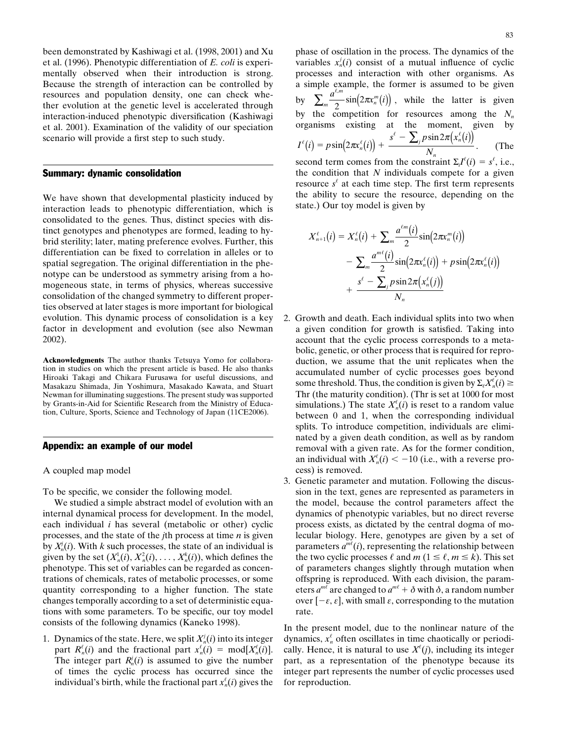been demonstrated by Kashiwagi et al. (1998, 2001) and Xu et al. (1996). Phenotypic differentiation of *E. coli* is experimentally observed when their introduction is strong. Because the strength of interaction can be controlled by resources and population density, one can check whether evolution at the genetic level is accelerated through interaction-induced phenotypic diversification (Kashiwagi et al. 2001). Examination of the validity of our speciation scenario will provide a first step to such study.

# Summary: dynamic consolidation

We have shown that developmental plasticity induced by interaction leads to phenotypic differentiation, which is consolidated to the genes. Thus, distinct species with distinct genotypes and phenotypes are formed, leading to hybrid sterility; later, mating preference evolves. Further, this differentiation can be fixed to correlation in alleles or to spatial segregation. The original differentiation in the phenotype can be understood as symmetry arising from a homogeneous state, in terms of physics, whereas successive consolidation of the changed symmetry to different properties observed at later stages is more important for biological evolution. This dynamic process of consolidation is a key factor in development and evolution (see also Newman 2002).

**Acknowledgments** The author thanks Tetsuya Yomo for collaboration in studies on which the present article is based. He also thanks Hiroaki Takagi and Chikara Furusawa for useful discussions, and Masakazu Shimada, Jin Yoshimura, Masakado Kawata, and Stuart Newman for illuminating suggestions. The present study was supported by Grants-in-Aid for Scientific Research from the Ministry of Education, Culture, Sports, Science and Technology of Japan (11CE2006).

# Appendix: an example of our model

## A coupled map model

To be specific, we consider the following model.

We studied a simple abstract model of evolution with an internal dynamical process for development. In the model, each individual *i* has several (metabolic or other) cyclic processes, and the state of the *j*th process at time *n* is given by  $X_n^j(i)$ . With *k* such processes, the state of an individual is given by the set  $(X_n^1(i), X_n^2(i), \ldots, X_n^k(i))$ , which defines the phenotype. This set of variables can be regarded as concentrations of chemicals, rates of metabolic processes, or some quantity corresponding to a higher function. The state changes temporally according to a set of deterministic equations with some parameters. To be specific, our toy model consists of the following dynamics (Kaneko 1998).

1. Dynamics of the state. Here, we split  $X_n^j(i)$  into its integer part  $R_n^{\ell}(i)$  and the fractional part  $x_n^{\ell}(i) = \text{mod}[X_n^{\ell}(i)]$ . The integer part  $R_n^j(i)$  is assumed to give the number of times the cyclic process has occurred since the individual's birth, while the fractional part  $x_n^\ell(i)$  gives the

83

phase of oscillation in the process. The dynamics of the variables  $x_n^j(i)$  consist of a mutual influence of cyclic processes and interaction with other organisms. As a simple example, the former is assumed to be given by  $\sum_{m} \frac{a^{\ell,m}}{2} \sin(2\pi x_n^m(i))$  $\sum_{n=1}^{\infty} \frac{a^{\ell,m}}{2} \sin(2\pi x_n^m(i))$ , while the latter is given by the competition for resources among the  $N_n$ organisms existing at the moment, given by  $I^{\ell}(i) = p \sin(2\pi x_n^{\ell}(i))$  $s^{\ell}$  –  $\sum_i p \sin 2\pi (x_n^{\ell}$  $N^{(l)}$   $N$  $\sum_{j} P^{\text{min}} \mathcal{L}^{\mathcal{H}}(X_{n})$ *n*  $\ell(i) = \min(2\pi i)^{\ell}$  $\hat{f}(i) = p \sin(2\pi x_n^{\ell}(i)) + \frac{s^{\ell} - \sum_j p \sin 2\pi (x_n^{\ell}(i))}{N}$ 2 2  $\pi$  $\pi$ . (The second term comes from the constraint  $\Sigma_i I^{\ell}(i) = s^{\ell}$ , i.e.,

the condition that *N* individuals compete for a given resource  $s^{\ell}$  at each time step. The first term represents the ability to secure the resource, depending on the state.) Our toy model is given by

$$
X_{n+1}^{\ell}(i) = X_n^{\ell}(i) + \sum_m \frac{a^{\ell m}(i)}{2} \sin(2\pi x_n^m(i))
$$
  
- 
$$
\sum_m \frac{a^{m\ell}(i)}{2} \sin(2\pi x_n^{\ell}(i)) + p \sin(2\pi x_n^{\ell}(i))
$$
  
+ 
$$
\frac{s^{\ell} - \sum_j p \sin 2\pi (x_n^{\ell}(j))}{N_n}
$$

- 2. Growth and death. Each individual splits into two when a given condition for growth is satisfied. Taking into account that the cyclic process corresponds to a metabolic, genetic, or other process that is required for reproduction, we assume that the unit replicates when the accumulated number of cyclic processes goes beyond some threshold. Thus, the condition is given by  $\sum_{\ell} X_n^{\ell}(i) \geq$ Thr (the maturity condition). (Thr is set at 1000 for most simulations.) The state  $X_n^{\ell}(i)$  is reset to a random value between 0 and 1, when the corresponding individual splits. To introduce competition, individuals are eliminated by a given death condition, as well as by random removal with a given rate. As for the former condition, an individual with  $X_n^{\ell}(i) < -10$  (i.e., with a reverse process) is removed.
- 3. Genetic parameter and mutation. Following the discussion in the text, genes are represented as parameters in the model, because the control parameters affect the dynamics of phenotypic variables, but no direct reverse process exists, as dictated by the central dogma of molecular biology. Here, genotypes are given by a set of parameters  $a^{m\ell}(i)$ , representing the relationship between the two cyclic processes  $\ell$  and  $m$  ( $1 \leq \ell, m \leq k$ ). This set of parameters changes slightly through mutation when offspring is reproduced. With each division, the parameters  $a^{m\ell}$  are changed to  $a^{m\ell} + \delta$  with  $\delta$ , a random number over  $[-\varepsilon, \varepsilon]$ , with small  $\varepsilon$ , corresponding to the mutation rate.

In the present model, due to the nonlinear nature of the dynamics,  $x_n^{\ell}$  often oscillates in time chaotically or periodically. Hence, it is natural to use  $X^{\ell}(j)$ , including its integer part, as a representation of the phenotype because its integer part represents the number of cyclic processes used for reproduction.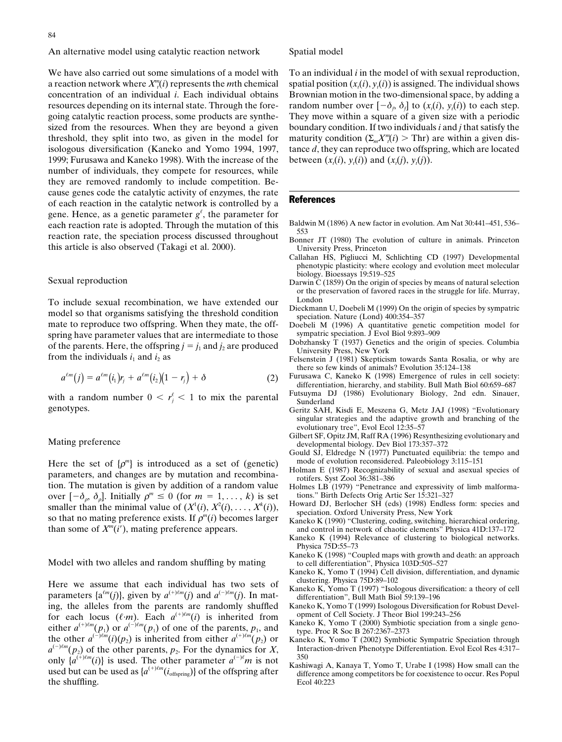An alternative model using catalytic reaction network

We have also carried out some simulations of a model with a reaction network where  $X_{i}^{m}(i)$  represents the *m*th chemical concentration of an individual *i*. Each individual obtains resources depending on its internal state. Through the foregoing catalytic reaction process, some products are synthesized from the resources. When they are beyond a given threshold, they split into two, as given in the model for isologous diversification (Kaneko and Yomo 1994, 1997, 1999; Furusawa and Kaneko 1998). With the increase of the number of individuals, they compete for resources, while they are removed randomly to include competition. Because genes code the catalytic activity of enzymes, the rate of each reaction in the catalytic network is controlled by a gene. Hence, as a genetic parameter  $g^{\ell}$ , the parameter for each reaction rate is adopted. Through the mutation of this reaction rate, the speciation process discussed throughout this article is also observed (Takagi et al. 2000).

## Sexual reproduction

To include sexual recombination, we have extended our model so that organisms satisfying the threshold condition mate to reproduce two offspring. When they mate, the offspring have parameter values that are intermediate to those of the parents. Here, the offspring  $j = j_1$  and  $j_2$  are produced from the individuals  $i_1$  and  $i_2$  as

$$
a^{\ell m}(j) = a^{\ell m}(i_1)r_j + a^{\ell m}(i_2)(1-r_j) + \delta \tag{2}
$$

with a random number  $0 < r_j^{\ell} < 1$  to mix the parental genotypes.

#### Mating preference

Here the set of  $\{\rho^m\}$  is introduced as a set of (genetic) parameters, and changes are by mutation and recombination. The mutation is given by addition of a random value over  $[-\delta_{\rho}, \delta_{\rho}]$ . Initially  $\rho^{m} \leq 0$  (for  $m = 1, ..., k$ ) is set smaller than the minimal value of  $(X^1(i), X^2(i), \ldots, X^k(i))$ , so that no mating preference exists. If  $\rho^{m}(i)$  becomes larger than some of  $X^m(i')$ , mating preference appears.

Model with two alleles and random shuffling by mating

Here we assume that each individual has two sets of parameters  $\{a^{\ell m}(i)\}\$ , given by  $a^{(+)\ell m}(i)$  and  $a^{(-)\ell m}(i)$ . In mating, the alleles from the parents are randomly shuffled for each locus  $(\ell \cdot m)$ . Each  $a^{(+)\ell m}(i)$  is inherited from either  $a^{(+)\ell m}(p_1)$  or  $a^{(-)\ell m}(p_1)$  of one of the parents,  $p_1$ , and the other  $a^{(-)\ell m}(i)(p_2)$  is inherited from either  $a^{(+)\ell m}(p_2)$  or  $a^{(-)\ell m}(p_2)$  of the other parents,  $p_2$ . For the dynamics for *X*, only  $\{a^{(+)\ell m}(i)\}$  is used. The other parameter  $a^{(-)\ell}m$  is not used but can be used as  $\{a^{(+)\ell m}(i_{\text{offspring}})\}$  of the offspring after the shuffling.

Spatial model

To an individual *i* in the model of with sexual reproduction, spatial position  $(x_i(i), y_i(i))$  is assigned. The individual shows Brownian motion in the two-dimensional space, by adding a random number over  $[-\delta_f, \delta_f]$  to  $(x_t(i), y_t(i))$  to each step. They move within a square of a given size with a periodic boundary condition. If two individuals *i* and *j* that satisfy the maturity condition  $(\sum_m X^m(i) > \text{Thr})$  are within a given distance *d*, they can reproduce two offspring, which are located between  $(x_{t}(i), y_{t}(i))$  and  $(x_{t}(j), y_{t}(j))$ .

## References

- Baldwin M (1896) A new factor in evolution. Am Nat 30:441–451, 536– 553
- Bonner JT (1980) The evolution of culture in animals. Princeton University Press, Princeton
- Callahan HS, Pigliucci M, Schlichting CD (1997) Developmental phenotypic plasticity: where ecology and evolution meet molecular biology. Bioessays 19:519–525
- Darwin C (1859) On the origin of species by means of natural selection or the preservation of favored races in the struggle for life. Murray, London
- Dieckmann U, Doebeli M (1999) On the origin of species by sympatric speciation. Nature (Lond) 400:354-357
- Doebeli M (1996) A quantitative genetic competition model for sympatric speciation. J Evol Biol 9:893–909
- Dobzhansky T (1937) Genetics and the origin of species. Columbia University Press, New York
- Felsenstein J (1981) Skepticism towards Santa Rosalia, or why are there so few kinds of animals? Evolution 35:124–138
- Furusawa C, Kaneko K (1998) Emergence of rules in cell society: differentiation, hierarchy, and stability. Bull Math Biol 60:659–687
- Futsuyma DJ (1986) Evolutionary Biology, 2nd edn. Sinauer, Sunderland
- Geritz SAH, Kisdi E, Meszena G, Metz JAJ (1998) "Evolutionary singular strategies and the adaptive growth and branching of the evolutionary tree", Evol Ecol 12:35–57
- Gilbert SF, Opitz JM, Raff RA (1996) Resynthesizing evolutionary and developmental biology. Dev Biol 173:357–372
- Gould SJ, Eldredge N (1977) Punctuated equilibria: the tempo and mode of evolution reconsidered. Paleobiology 3:115–151
- Holman E (1987) Recognizability of sexual and asexual species of rotifers. Syst Zool 36:381–386
- Holmes LB (1979) "Penetrance and expressivity of limb malformations." Birth Defects Orig Artic Ser 15:321–327
- Howard DJ, Berlocher SH (eds) (1998) Endless form: species and speciation. Oxford University Press, New York
- Kaneko K (1990) "Clustering, coding, switching, hierarchical ordering, and control in network of chaotic elements" Physica 41D:137–172
- Kaneko K (1994) Relevance of clustering to biological networks. Physica 75D:55–73
- Kaneko K (1998) "Coupled maps with growth and death: an approach to cell differentiation", Physica 103D:505–527
- Kaneko K, Yomo T (1994) Cell division, differentiation, and dynamic clustering. Physica 75D:89–102
- Kaneko K, Yomo T (1997) "Isologous diversification: a theory of cell differentiation", Bull Math Biol 59:139–196
- Kaneko K, Yomo T (1999) Isologous Diversification for Robust Development of Cell Society. J Theor Biol 199:243–256
- Kaneko K, Yomo T (2000) Symbiotic speciation from a single genotype. Proc R Soc B 267:2367–2373
- Kaneko K, Yomo T (2002) Symbiotic Sympatric Speciation through Interaction-driven Phenotype Differentiation. Evol Ecol Res 4:317– 350
- Kashiwagi A, Kanaya T, Yomo T, Urabe I (1998) How small can the difference among competitors be for coexistence to occur. Res Popul Ecol 40:223